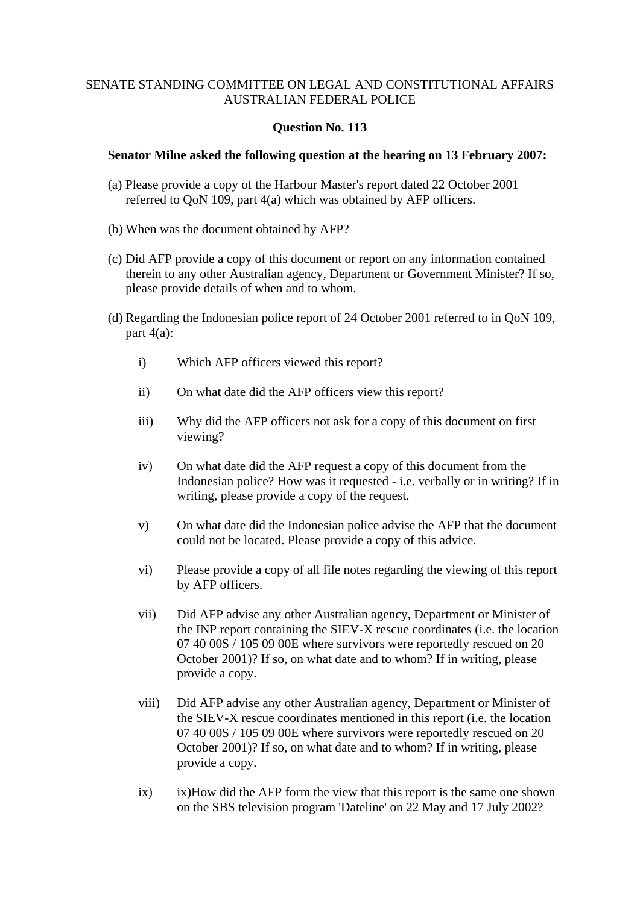# **Question No. 113**

#### **Senator Milne asked the following question at the hearing on 13 February 2007:**

- (a) Please provide a copy of the Harbour Master's report dated 22 October 2001 referred to QoN 109, part 4(a) which was obtained by AFP officers.
- (b) When was the document obtained by AFP?
- (c) Did AFP provide a copy of this document or report on any information contained therein to any other Australian agency, Department or Government Minister? If so, please provide details of when and to whom.
- (d) Regarding the Indonesian police report of 24 October 2001 referred to in QoN 109, part  $4(a)$ :
	- i) Which AFP officers viewed this report?
	- ii) On what date did the AFP officers view this report?
	- iii) Why did the AFP officers not ask for a copy of this document on first viewing?
	- iv) On what date did the AFP request a copy of this document from the Indonesian police? How was it requested - i.e. verbally or in writing? If in writing, please provide a copy of the request.
	- v) On what date did the Indonesian police advise the AFP that the document could not be located. Please provide a copy of this advice.
	- vi) Please provide a copy of all file notes regarding the viewing of this report by AFP officers.
	- vii) Did AFP advise any other Australian agency, Department or Minister of the INP report containing the SIEV-X rescue coordinates (i.e. the location 07 40 00S / 105 09 00E where survivors were reportedly rescued on 20 October 2001)? If so, on what date and to whom? If in writing, please provide a copy.
	- viii) Did AFP advise any other Australian agency, Department or Minister of the SIEV-X rescue coordinates mentioned in this report (i.e. the location 07 40 00S / 105 09 00E where survivors were reportedly rescued on 20 October 2001)? If so, on what date and to whom? If in writing, please provide a copy.
	- ix) ix)How did the AFP form the view that this report is the same one shown on the SBS television program 'Dateline' on 22 May and 17 July 2002?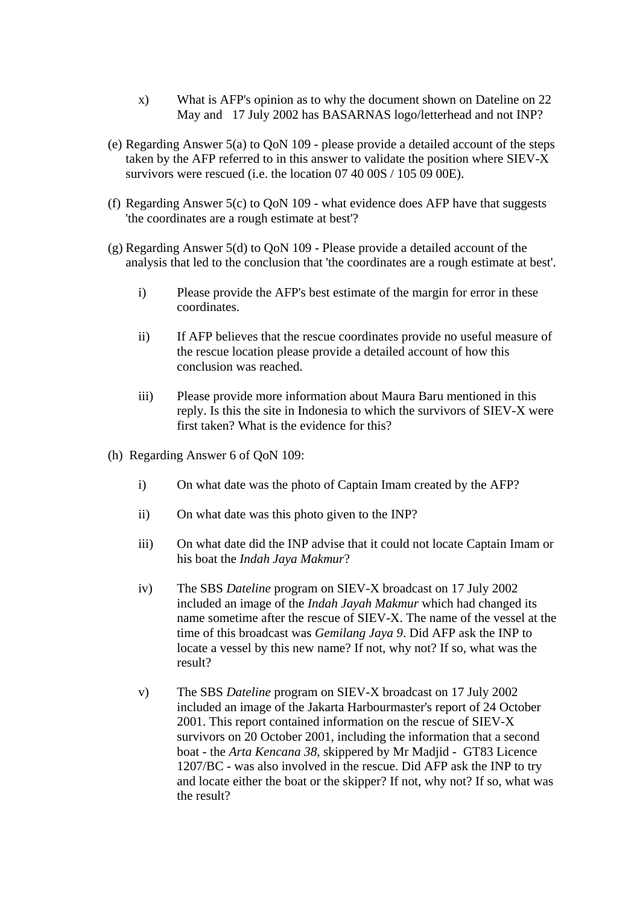- x) What is AFP's opinion as to why the document shown on Dateline on 22 May and 17 July 2002 has BASARNAS logo/letterhead and not INP?
- (e) Regarding Answer 5(a) to QoN 109 please provide a detailed account of the steps taken by the AFP referred to in this answer to validate the position where  $SIEV-X$ survivors were rescued (i.e. the location 07 40 00S / 105 09 00E).
- (f) Regarding Answer 5(c) to QoN 109 what evidence does AFP have that suggests 'the coordinates are a rough estimate at best'?
- (g) Regarding Answer 5(d) to QoN 109 Please provide a detailed account of the analysis that led to the conclusion that 'the coordinates are a rough estimate at best'.
	- i) Please provide the AFP's best estimate of the margin for error in these coordinates.
	- ii) If AFP believes that the rescue coordinates provide no useful measure of the rescue location please provide a detailed account of how this conclusion was reached.
	- iii) Please provide more information about Maura Baru mentioned in this reply. Is this the site in Indonesia to which the survivors of SIEV-X were first taken? What is the evidence for this?
- (h) Regarding Answer 6 of QoN 109:
	- i) On what date was the photo of Captain Imam created by the AFP?
	- ii) On what date was this photo given to the INP?
	- iii) On what date did the INP advise that it could not locate Captain Imam or his boat the *Indah Jaya Makmur*?
	- iv) The SBS *Dateline* program on SIEV-X broadcast on 17 July 2002 included an image of the *Indah Jayah Makmur* which had changed its name sometime after the rescue of SIEV-X. The name of the vessel at the time of this broadcast was *Gemilang Jaya 9*. Did AFP ask the INP to locate a vessel by this new name? If not, why not? If so, what was the result?
	- v) The SBS *Dateline* program on SIEV-X broadcast on 17 July 2002 included an image of the Jakarta Harbourmaster's report of 24 October 2001. This report contained information on the rescue of SIEV-X survivors on 20 October 2001, including the information that a second boat - the *Arta Kencana 38*, skippered by Mr Madjid - GT83 Licence 1207/BC - was also involved in the rescue. Did AFP ask the INP to try and locate either the boat or the skipper? If not, why not? If so, what was the result?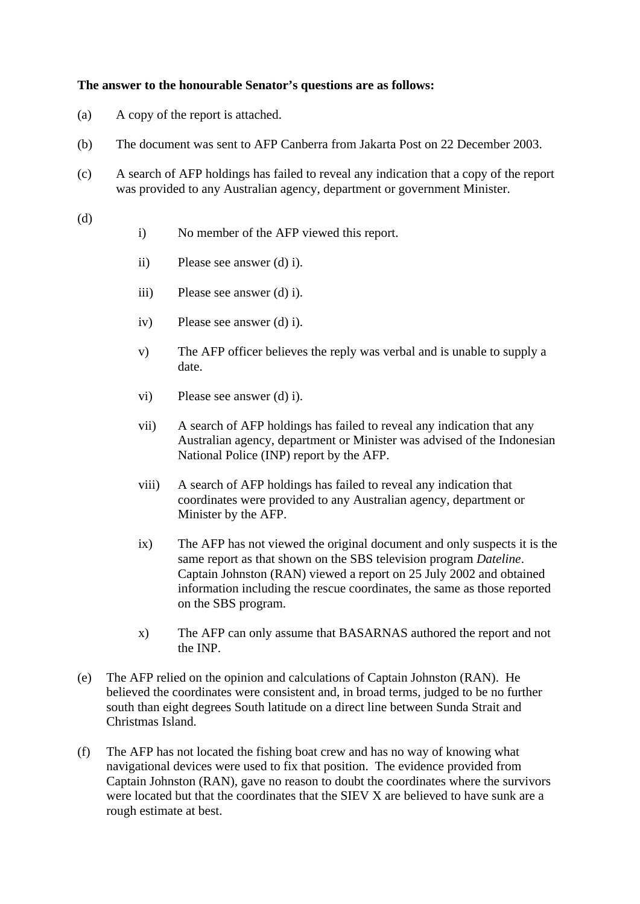# **The answer to the honourable Senator's questions are as follows:**

- (a) A copy of the report is attached.
- (b) The document was sent to AFP Canberra from Jakarta Post on 22 December 2003.
- (c) A search of AFP holdings has failed to reveal any indication that a copy of the report was provided to any Australian agency, department or government Minister.
- (d)
- i) No member of the AFP viewed this report.
- ii) Please see answer (d) i).
- iii) Please see answer (d) i).
- iv) Please see answer (d) i).
- v) The AFP officer believes the reply was verbal and is unable to supply a date.
- vi) Please see answer (d) i).
- vii) A search of AFP holdings has failed to reveal any indication that any Australian agency, department or Minister was advised of the Indonesian National Police (INP) report by the AFP.
- viii) A search of AFP holdings has failed to reveal any indication that coordinates were provided to any Australian agency, department or Minister by the AFP.
- ix) The AFP has not viewed the original document and only suspects it is the same report as that shown on the SBS television program *Dateline*. Captain Johnston (RAN) viewed a report on 25 July 2002 and obtained information including the rescue coordinates, the same as those reported on the SBS program.
- x) The AFP can only assume that BASARNAS authored the report and not the INP.
- (e) The AFP relied on the opinion and calculations of Captain Johnston (RAN). He believed the coordinates were consistent and, in broad terms, judged to be no further south than eight degrees South latitude on a direct line between Sunda Strait and Christmas Island.
- (f) The AFP has not located the fishing boat crew and has no way of knowing what navigational devices were used to fix that position. The evidence provided from Captain Johnston (RAN), gave no reason to doubt the coordinates where the survivors were located but that the coordinates that the SIEV X are believed to have sunk are a rough estimate at best.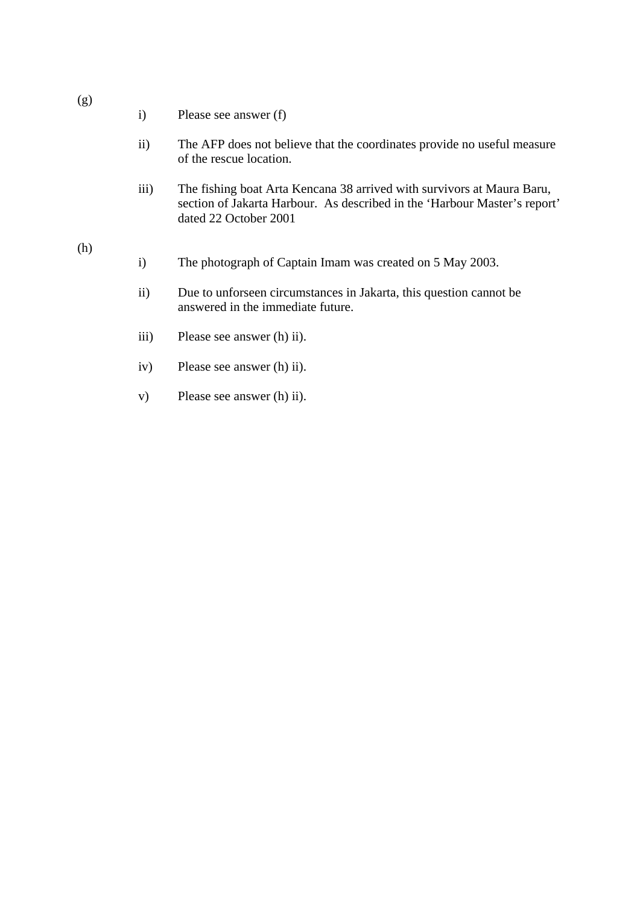- i) Please see answer (f)
- ii) The AFP does not believe that the coordinates provide no useful measure of the rescue location.
- iii) The fishing boat Arta Kencana 38 arrived with survivors at Maura Baru, section of Jakarta Harbour. As described in the 'Harbour Master's report' dated 22 October 2001

#### (h)

- i) The photograph of Captain Imam was created on 5 May 2003.
- ii) Due to unforseen circumstances in Jakarta, this question cannot be answered in the immediate future.
- iii) Please see answer (h) ii).
- iv) Please see answer (h) ii).
- v) Please see answer (h) ii).

# (g)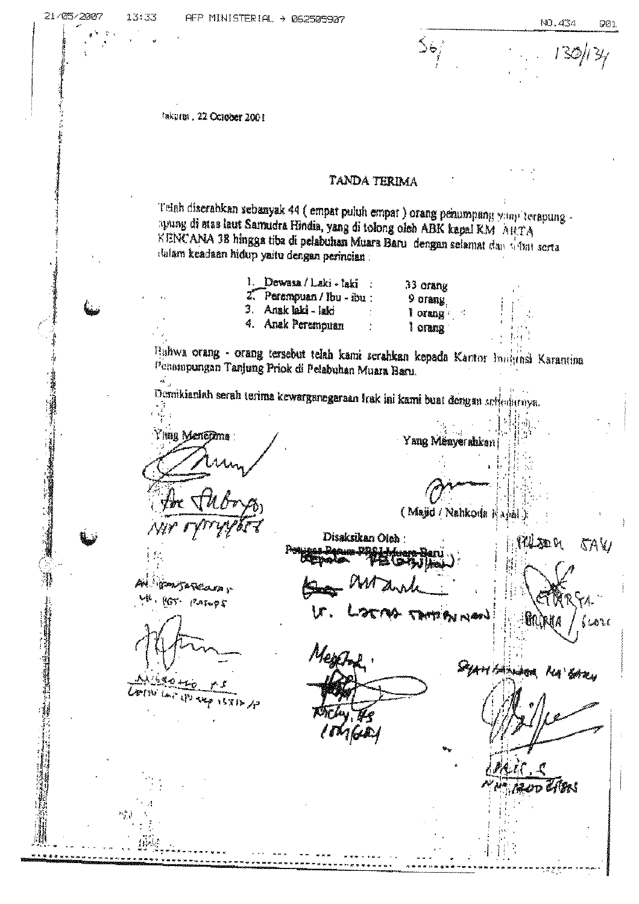$\frac{1}{2}$ 

Inkarm . 22 October 2004

#### TANDA TERIMA

Telah diserahkan sebanyak 44 (empat puluh empat ) orang penumpang yang terapung apung di mas laut Samudra Hindia, yang di tolong oleh ABK kapal KM AHTA KENCANA 38 hingga tiba di pelabuhan Muara Baru dengan selamat dan denat serta dulam keadaan hidup yaitu dengan perincian:

> 1. Dewasa/Laki-laki 33 orang 2. Perempuan / Ibu - ibu : 9 orang 3. Anak laki - laki l orang 4. Anak Perempuan lorana

Hahwa orang - orang tersebut telah kami serahkan kepada Kantor Imigrasi Karantina Penampungan Tanjung Priok di Pelabuhan Muara Baru.  $\tilde{\mathcal{A}}_{\rm{in}}$ 

Yang Menyerahkan

(Majid / Nahkoda Kagal

Demikianiah serah terima kewarganegaraan Irak ini kami buat dengan arterlarnya.

Ying Menepma:

an<br>Ali アスキックギ

Disaksikan Oleh :

靹

(Yalem di

**SAV** 

ይልግራ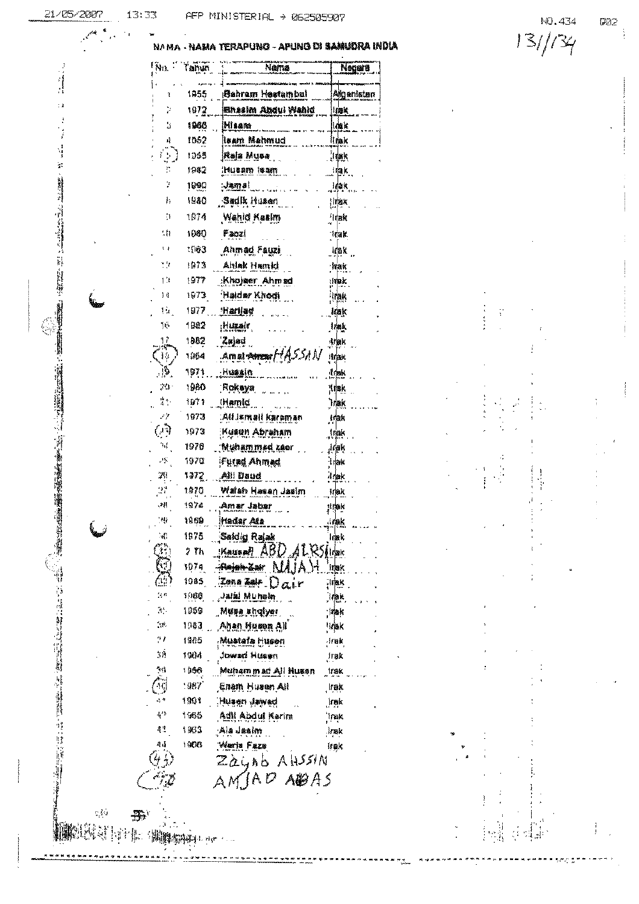$\label{eq:1} \begin{array}{ll} \mathbf{u}_1 & \mathbf{u}_2 & \mathbf{u}_3 \\ \mathbf{u}_4 & \mathbf{u}_5 & \mathbf{u}_6 \\ \mathbf{u}_7 & \mathbf{u}_7 & \mathbf{u}_7 & \mathbf{u}_8 \end{array}$ 

 $\ddot{\cdot}$ 

 $\hat{\gamma}_i^{\dagger} \hat{\psi}_i$ 

**KOSTE** 

 $\mathbf{B}^{\mathbf{c}}$ 

 $\begin{picture}(20,10) \put(0,0){\vector(1,0){30}} \put(15,0){\vector(1,0){30}} \put(15,0){\vector(1,0){30}} \put(15,0){\vector(1,0){30}} \put(15,0){\vector(1,0){30}} \put(15,0){\vector(1,0){30}} \put(15,0){\vector(1,0){30}} \put(15,0){\vector(1,0){30}} \put(15,0){\vector(1,0){30}} \put(15,0){\vector(1,0){30}} \put(15,0){\vector(1,0){30}} \put(15,0){\vector(1$ 

 $13:33$ 

#### - NAMA TERAPUNO - APUNG DI SAMUDRA INDIA **NAMA**

| ľм.                         | l'anya | Nama                         | Negara            |
|-----------------------------|--------|------------------------------|-------------------|
| ĩ                           | 1955   | Sahram Hestambul             | Algenisten        |
| Þ                           | 1972   | Bhasim Abdul Wahid           | lnak              |
| ä                           | 1966   | Misane                       | lank              |
| 峰                           | 1062   | lsam Mehmud                  | 机馏板               |
| ţ.                          | 1965   | Raja Musa                    | 測點                |
| h                           | 1982   | Husam Isam                   | frak.             |
| Þ                           | 1000   | ានកោត!                       | ldak              |
| ŀ,                          | 1980   | Sadik Husen                  | ¦irmax            |
| ħ                           | 1974   | Wahid Kasim                  | 'hlak             |
| 11                          | 1060   | Faozi                        | Taak              |
| ŧ,                          | 1 (163 | Ahmad Fauzi                  | 植脂属               |
| 72                          | 1973   | Ahlak Hamid                  | 指標杯               |
| ť.                          | 1977   | Khojser Ahmsd                | :Huk              |
| 1月                          | 1973.  | Haldar Khodi                 | 计随收               |
| Тàг                         | 1977.  | <u>Harliad</u>               | 捕取                |
| 16                          | 1982   | ,Huralr                      | 排線                |
| ្ពុ                         | 1982   | 'Zajati                      | 球蛾的               |
| Ιş                          | 1854   | .amgi <del>amzu</del> HASSAN | Hriak             |
| $\mathcal{G}_{\mathcal{A}}$ | 1971.  | - Musain                     | 1/8               |
| 30                          | 1980   | Rokaya                       | <b>Hitak</b>      |
| İ.                          | 翔行     | Mamic                        | `hjak             |
| فتوصو                       | 1973   | :Ali Jamali karaman          | 封燈机               |
| $\mathbb{C}(\mathbb{R})$    | 1973   | Kusun Abraham                | Inak              |
| Ъf                          | 1970   | Muhammad zaer                | irak              |
| -5                          | 1970   | ifutad Ahmad                 | i dak             |
| 29                          | 1972.  | Alii Daud                    | 市橋家               |
|                             | 1970.  | Watan Hasan Jasim            | irak              |
| 38                          | 1974   | Amar Jabar                   | ;irak             |
| 79.                         | ខេត្ត  | Hadar Ata                    | 小糖的               |
| - 15 1                      | 1875   | , Saidig Rajak               | ाहरा              |
|                             | 2 Th   | KAUSAR ABD ALRSHER           |                   |
|                             |        | 1979. Heinheim MAJAN Irek    |                   |
|                             |        | 1985 Zena Zalf $Dair$        | , irak            |
| W€.                         | 1960   | <b>Jain Muhain</b>           | 翀                 |
| $\mathcal{H}^{\mathcal{L}}$ | 1959 - | "Muse shqiyar                | ja ak             |
| $\sim 10$                   | 1083   | Ahan Husen All               | ‼rak              |
| 91                          | 1985   | Mustafa Husen                | $4$ rek           |
| 翘                           | 1964   | Jowan Husen                  | irak              |
| NG                          | 1956   | Muhammad All Husan           | Irak              |
| Č                           | $-907$ | Enam Husan All               | Irak              |
|                             | 1901.  | Musen Jawad                  | <sub>.</sub> Inak |
| $\mathcal{C}^{\prime}$      | 青網春    | Adii Abdul Karim             | ាក្រុង            |
| 奇然                          | 1963   | Ala Jasim                    | $\mathsf{I}$ as   |
| 44                          |        | 1968 Warth Faze              | itak              |
|                             |        | Zaynb AHSSIN                 |                   |
|                             |        | AMAP ABAS                    |                   |
|                             |        |                              |                   |
|                             |        |                              |                   |
|                             |        |                              |                   |
|                             |        |                              |                   |

 $131/134$ 

 $\frac{1}{2}$  $\frac{1}{3}$ 

 $\begin{array}{c} 1 \\ 1 \\ 1 \end{array}$ 

 $\begin{bmatrix} 1 & 1 \\ 1 & 0 \\ 1 & 1 \end{bmatrix}$ 

 $\hat{\phi}$ 

 $\frac{1}{\sqrt{2}}$  $\ddot{\phantom{a}}$ Î,

ļ

NO.434

 $\mathfrak{g}_{\mathbb{Q}2}$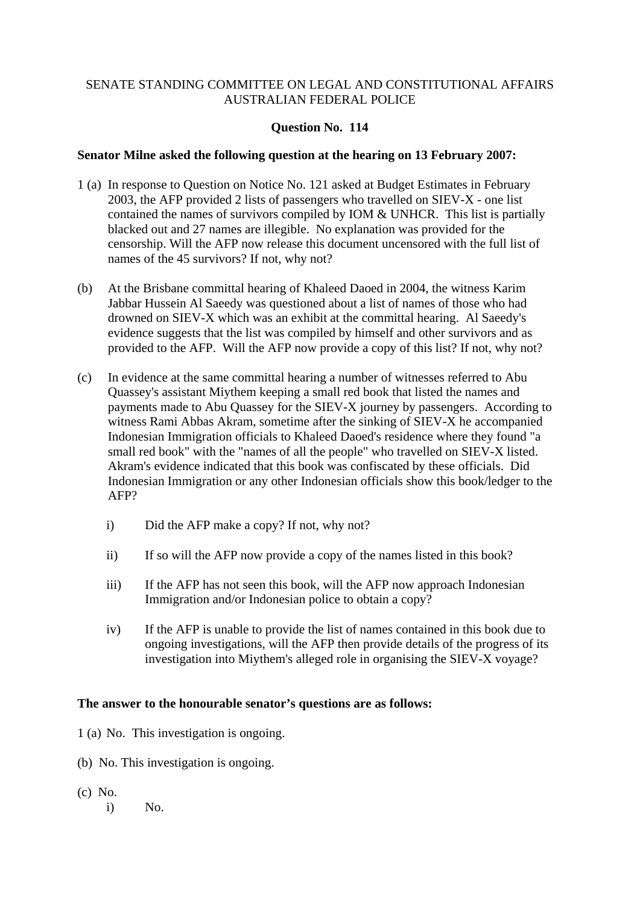# **Question No. 114**

# **Senator Milne asked the following question at the hearing on 13 February 2007:**

- 1 (a) In response to Question on Notice No. 121 asked at Budget Estimates in February 2003, the AFP provided 2 lists of passengers who travelled on SIEV-X - one list contained the names of survivors compiled by IOM & UNHCR. This list is partially blacked out and 27 names are illegible. No explanation was provided for the censorship. Will the AFP now release this document uncensored with the full list of names of the 45 survivors? If not, why not?
- (b) At the Brisbane committal hearing of Khaleed Daoed in 2004, the witness Karim Jabbar Hussein Al Saeedy was questioned about a list of names of those who had drowned on SIEV-X which was an exhibit at the committal hearing. Al Saeedy's evidence suggests that the list was compiled by himself and other survivors and as provided to the AFP. Will the AFP now provide a copy of this list? If not, why not?
- (c) In evidence at the same committal hearing a number of witnesses referred to Abu Quassey's assistant Miythem keeping a small red book that listed the names and payments made to Abu Quassey for the SIEV-X journey by passengers. According to witness Rami Abbas Akram, sometime after the sinking of SIEV-X he accompanied Indonesian Immigration officials to Khaleed Daoed's residence where they found "a small red book" with the "names of all the people" who travelled on SIEV-X listed. Akram's evidence indicated that this book was confiscated by these officials. Did Indonesian Immigration or any other Indonesian officials show this book/ledger to the AFP?
	- i) Did the AFP make a copy? If not, why not?
	- ii) If so will the AFP now provide a copy of the names listed in this book?
	- iii) If the AFP has not seen this book, will the AFP now approach Indonesian Immigration and/or Indonesian police to obtain a copy?
	- iv) If the AFP is unable to provide the list of names contained in this book due to ongoing investigations, will the AFP then provide details of the progress of its investigation into Miythem's alleged role in organising the SIEV-X voyage?

# **The answer to the honourable senator's questions are as follows:**

- 1 (a) No. This investigation is ongoing.
- (b) No. This investigation is ongoing.
- (c) No.
	- i) No.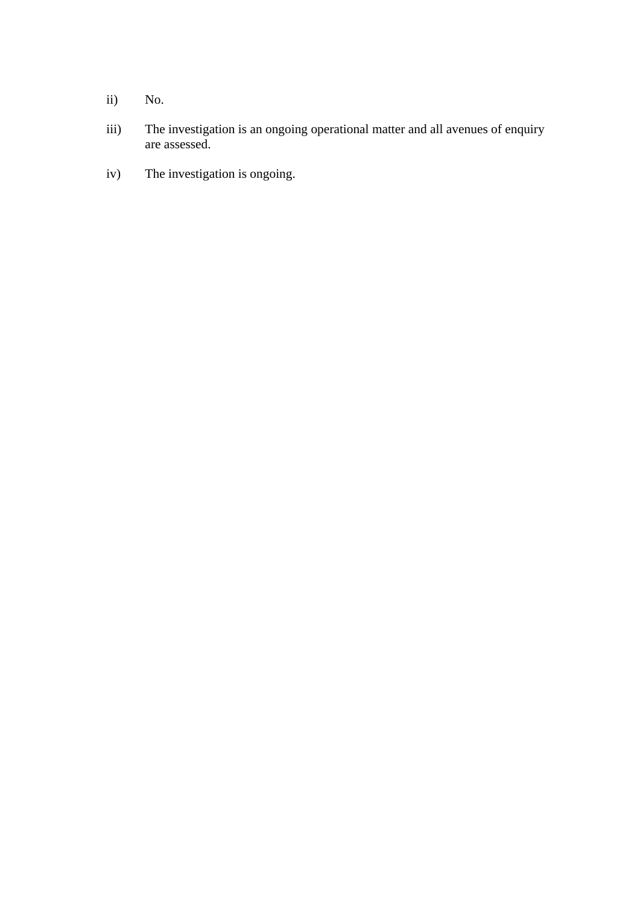- ii) No.
- iii) The investigation is an ongoing operational matter and all avenues of enquiry are assessed.
- iv) The investigation is ongoing.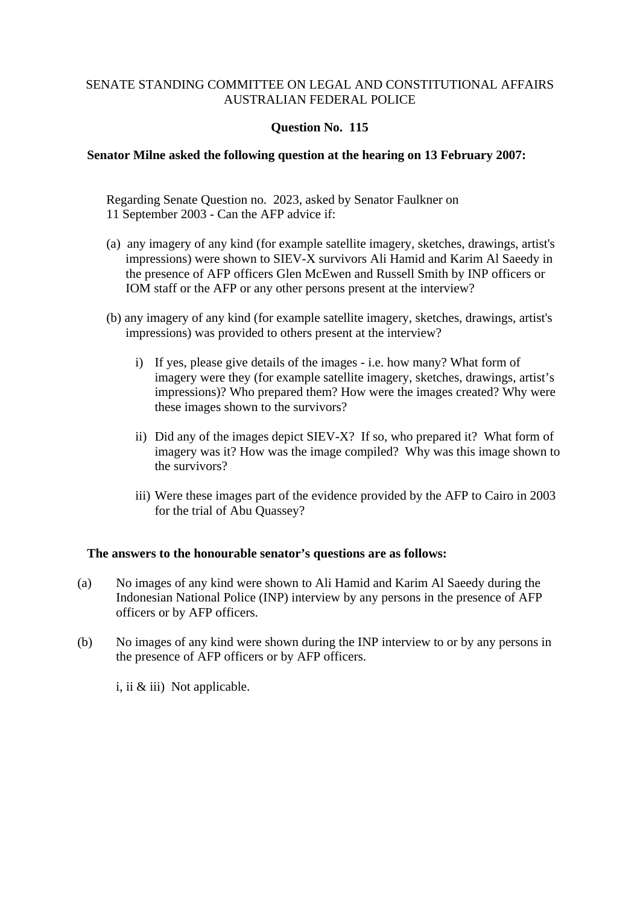# **Question No. 115**

# **Senator Milne asked the following question at the hearing on 13 February 2007:**

Regarding Senate Question no. 2023, asked by Senator Faulkner on 11 September 2003 - Can the AFP advice if:

- (a) any imagery of any kind (for example satellite imagery, sketches, drawings, artist's impressions) were shown to SIEV-X survivors Ali Hamid and Karim Al Saeedy in the presence of AFP officers Glen McEwen and Russell Smith by INP officers or IOM staff or the AFP or any other persons present at the interview?
- (b) any imagery of any kind (for example satellite imagery, sketches, drawings, artist's impressions) was provided to others present at the interview?
	- i) If yes, please give details of the images i.e. how many? What form of imagery were they (for example satellite imagery, sketches, drawings, artist's impressions)? Who prepared them? How were the images created? Why were these images shown to the survivors?
	- ii) Did any of the images depict SIEV-X? If so, who prepared it? What form of imagery was it? How was the image compiled? Why was this image shown to the survivors?
	- iii) Were these images part of the evidence provided by the AFP to Cairo in 2003 for the trial of Abu Quassey?

# **The answers to the honourable senator's questions are as follows:**

- (a) No images of any kind were shown to Ali Hamid and Karim Al Saeedy during the Indonesian National Police (INP) interview by any persons in the presence of AFP officers or by AFP officers.
- (b) No images of any kind were shown during the INP interview to or by any persons in the presence of AFP officers or by AFP officers.

i, ii & iii) Not applicable.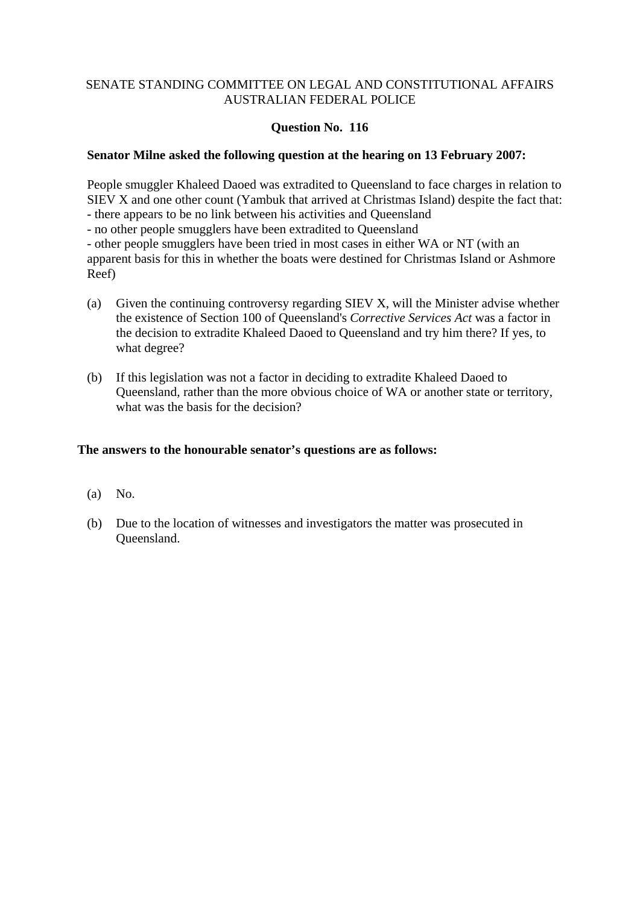# **Question No. 116**

# **Senator Milne asked the following question at the hearing on 13 February 2007:**

People smuggler Khaleed Daoed was extradited to Queensland to face charges in relation to SIEV X and one other count (Yambuk that arrived at Christmas Island) despite the fact that:

- there appears to be no link between his activities and Queensland

- no other people smugglers have been extradited to Queensland

- other people smugglers have been tried in most cases in either WA or NT (with an apparent basis for this in whether the boats were destined for Christmas Island or Ashmore Reef)

- (a) Given the continuing controversy regarding SIEV X, will the Minister advise whether the existence of Section 100 of Queensland's *Corrective Services Act* was a factor in the decision to extradite Khaleed Daoed to Queensland and try him there? If yes, to what degree?
- (b) If this legislation was not a factor in deciding to extradite Khaleed Daoed to Queensland, rather than the more obvious choice of WA or another state or territory, what was the basis for the decision?

# **The answers to the honourable senator's questions are as follows:**

- (a) No.
- (b) Due to the location of witnesses and investigators the matter was prosecuted in Queensland.